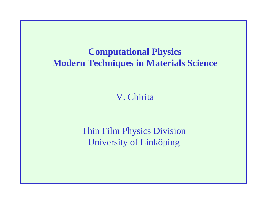# **Computational Physics Modern Techniques in Materials Science**

# V. Chirita

Thin Film Physics Division University of Linköping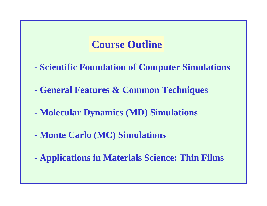# **Course Outline**

- **Scientific Foundation of Computer Simulations**
- **General Features & Common Techniques**
- **Molecular Dynamics (MD) Simulations**
- **Monte Carlo (MC) Simulations**
- **Applications in Materials Science: Thin Films**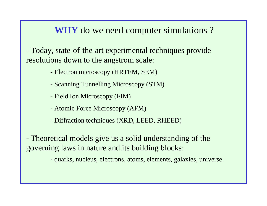# **WHY** do we need computer simulations ?

- Today, state-of-the-art experimental techniques provide resolutions down to the angstrom scale:

- Electron microscopy (HRTEM, SEM)
- Scanning Tunnelling Microscopy (STM)
- Field Ion Microscopy (FIM)
- Atomic Force Microscopy (AFM)
- Diffraction techniques (XRD, LEED, RHEED)
- Theoretical models give us a solid understanding of the governing laws in nature and its building blocks:

- quarks, nucleus, electrons, atoms, elements, galaxies, universe.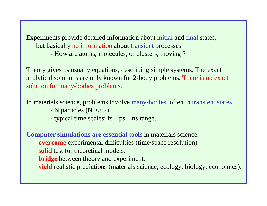Experiments provide detailed information about initial and final states, but basically no informati on about transient processes.

- H o w are atoms, molecules, or clusters, moving ?

Theory gives us usually equations, describing simple systems. The exact analytical sol utions are only known for 2-body problems. There is no exact solution for many-bodies problems.

In materials science, problems involve many-bodies, often in transient states.

- N particles (N >> 2)
- typical time scales: fs ps ns range.

**Computer simulations are essential tools** in materials science.

- **overcome** experimental difficulties (time/space resolution).
- **solid** test for theoretical models.
- **bridge** between theory and experiment.
- **yield** reali stic predictions (materials science, ecology, biology, economics).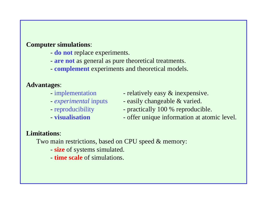### **Computer simulations**:

- **do not** replace experiments.
- **are not** as general as pure theoretical treatments.
- **complement** experiments and theoretical models.

## **Advantages**:

- 
- 
- 
- 
- $-$  implementation  $-$  relatively easy  $\&$  inexpensive.
- *experimental* inputs easily changeable & varied.
- reproducibility practically 100 % reproducible.
- **visualisation** offer unique information at atomic level.

### **Limitations**:

Two main restrictions, based on CPU speed & memory:

- **size** of systems simulated.
- **time scale** of simulations.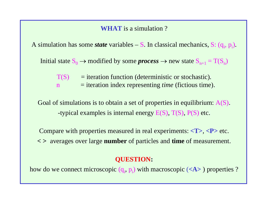#### **WHAT** is a simulation ?

A simulation has some *state* variables  $-S$ . In classical mechanics, S:  $(q_i, p_i)$ .

Initial state  $S_0 \to$  modified by some *process*  $\to$  new state  $S_{n+1} = T(S_n)$ 

- $T(S)$  = iteration function (deterministic or stochastic).
- n = iteration index representing *time* (fictious time).

Goal of simulations is to obtain a set of properties in equilibrium:  $A(S)$ . -typical examples is internal energy E(S), T(S), P(S) etc.

Compare with properties measured in real experiments: **<T>**, **<P>** etc. **< >** averages over large **number** of particles and **time** of measurement.

#### **QUESTION:**

how do we connect microscopic  $(q_i, p_i)$  with macroscopic  $(\langle A \rangle)$  properties ?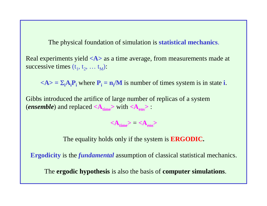The physical foundation of simulation is **statistical mechanics**.

Real experiments yield **<A>** as a time average, from measurements made at successive times  $(t_1, t_2, \ldots t_M)$ :

 $\langle A \rangle = \sum_i A_i P_i$  where  $P_i = n_i / M$  is number of times system is in state **i**.

Gibbs introduced the artifice of large number of replicas of a system (*ensemble*) and replaced  $\langle A_{time} \rangle$  with  $\langle A_{enc} \rangle$ :

 $\langle A_{time} \rangle = \langle A_{enc} \rangle$ 

The equality holds only if the system is **ERGODIC.**

**Ergodicity** is the *fundamental* assumption of classical statistical mechanics.

The **ergodic hypothesis** is also the basis of **computer simulations**.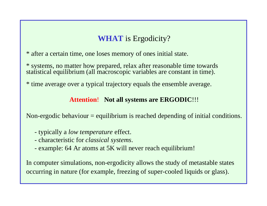## **WHAT** is Ergodicity?

\* after a certain time, one loses memory of ones initial state.

\* systems, no matter how prepared, relax after reasonable time towards statistical equilibrium (all macroscopic variables are constant in time).

\* time average over a typical trajectory equals the ensemble average.

## **Attention**! **Not all systems are ERGODIC**!!!

Non-ergodic behaviour = equilibrium is reached depending of initial conditions.

- typically a *low temperature* effect.
- characteristic for *classical systems*.
- example: 64 Ar atoms at 5K will never reach equilibrium!

In computer simulations, non-ergodicity allows the study of metastable states occurring in nature (for example, freezing of super-cooled liquids or glass).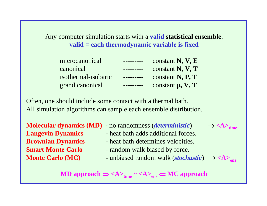Any computer simulation starts with a **valid statistical ensemble**. **valid = each thermodynamic variable is fixed**

| microcanonical      | constant $N, V, E$         |
|---------------------|----------------------------|
| canonical           | constant $N, V, T$         |
| isothermal-isobaric | constant $N, P, T$         |
| grand canonical     | constant $\mu$ , $V$ , $T$ |

Often, one should include some contact with a thermal bath. All simulation algorithms can sample each ensemble distribution.

**Langevin Dynamics** - **Brownian Dynamics** - **Smart Monte Carlo** 

**Molecular dynamics (MD)** - no randomness (*deterministic*)

- heat bath adds additional forces.
- heat bath determines velocities.
- random walk biased by force.
- **Monte Carlo** (**MC**)  $\longrightarrow$  unbiased random walk (*stochastic*)  $\longrightarrow$  <A><sub>ens</sub>

 $\textbf{MD}$  approach  $\Rightarrow$  <A> $_{\text{time}}$  ~ <A> $_{\text{ens}}$   $\Leftarrow$  MC approach

$$
\rightarrow \text{&}\sum_{time}
$$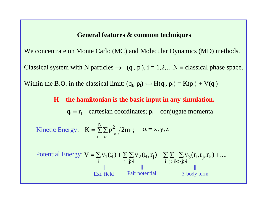#### **General features & common techniques**

We concentrate on Monte Carlo (MC) and Molecular Dynamics (MD) methods.

Classical system with N particles  $\rightarrow$   $(q_i, p_i)$ ,  $i = 1, 2, ...$  N = classical phase space.

Within the B.O. in the classical limit:  $(q_i, p_i) \Leftrightarrow H(q_i, p_i) = K(p_i) + V(q_i)$ 

#### **H – the hamiltonian is the basic input in any simulation.**

 $q_i \equiv r_i - c$ artesian coordinates; p<sub>i</sub> – conjugate momenta

Kinetic Energy: 
$$
K = \sum_{i=1}^{N} \sum_{\alpha} p_{i_{\alpha}}^2 / 2m_i
$$
;  $\alpha = x, y, z$ 

Potential Energy: 
$$
V = \sum_i v_1(r_i) + \sum_i \sum_{j>i} v_2(r_i, r_j) + \sum_i \sum_{j>i} \sum_{j>i} v_3(r_i, r_j, r_k) + ...
$$
  
\n $\parallel$   
\n $\parallel$   
\nExt. field Partial *Pair potential* 3-body term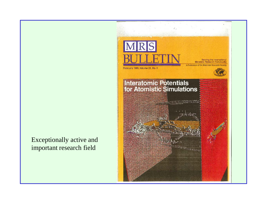Exceptionally active and important research field

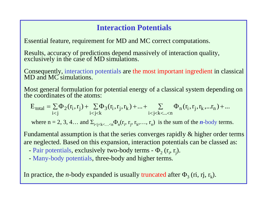## **Interaction Potentials**

Essential feature, requirement for MD and MC correct computations.

Results, accuracy of predictions depend massively of interaction quality, exclusively in the case of MD simulations.

Consequently, interaction potentials are the most important ingredient in classical MD and MC simulations.

Most general formulation for potential energy of a classical system depending on the coordinates of the atoms:

 $E_{total} = \sum_{i < j} \Phi_2(r_i, r_j) + \sum_{i < j < k} \Phi_3(r_i, r_j, r_k) + ... + \sum_{i < j < k < ... < n} \Phi_n(r_i, r_j, r_k, ...r_n) + ...$ total  $= \sum_{i < j} \Phi_2(r_i, r_j) + \sum_{i < j < k} \Phi_3(r_i, r_j, r_k) + ... + \sum_{i < j < k < ... < n} \Phi_n(r_i, r_j, r_k, ...r_n) +$ 

where  $n = 2, 3, 4...$  and  $\Sigma_{i \leq j \leq k \leq ... \leq n} \Phi_n(r_i, r_j, r_k, ..., r_n)$  is the sum of the *n*-body terms.

Fundamental assumption is that the series converges rapidly & higher order terms are neglected. Based on this expansion, interaction potentials can be classed as:

- Pair potentials, exclusively two-body terms  $\Phi_2$  ( $r_i$ ,  $r_j$ ).
- Many-body potentials, three-body and higher terms.

In practice, the *n*-body expanded is usually truncated after  $\Phi_3$  (ri, rj, r<sub>k</sub>).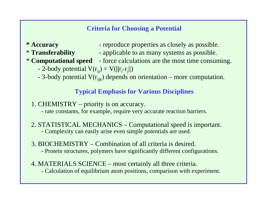## **Criteria for Choosing a Potential**

- 
- **\* Accuracy**  reproduce properties as closely as possible.
- 
- \* **Transferability**  applicable to as many systems as possible.
- \* **Computational speed**  force calculations are the most time consuming.
	- $-$  2-body potential  $V(r_{ii}) = V(||r_i r_i||)$
	- 3-body potential  $V(r_{ijk})$  depends on orientation more computation.

## **Typical Emphasis for Various Disciplines**

- 1. CHEMISTRY priority is on accuracy.
	- rate constants, for example, require very accurate reaction barriers.
- 2. STATISTICAL MECHANICS Computational speed is important. - Complexity can easily arise even simple potentials are used.
- 3. BIOCHEMISTRY Combination of all criteria is desired.
	- Protein structures, polymers have significantly different configurations.
- 4. MATERIALS SCIENCE most certainly all three criteria. - Calculation of equilibrium atom positions, comparison with experiment.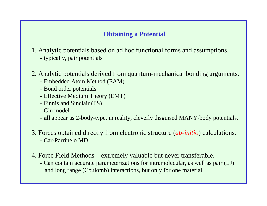## **Obtaining a Potential**

- 1. Analytic potentials based on ad hoc functional forms and assumptions. - typically, pair potentials
- 2. Analytic potentials derived from quantum-mechanical bonding arguments.
	- Embedded Atom Method (EAM)
	- Bond order potentials
	- Effective Medium Theory (EMT)
	- Finnis and Sinclair (FS)
	- Glu model
	- **all** appear as 2-body-type, in reality, cleverly disguised MANY-body potentials.
- 3. Forces obtained directly from electronic structure (*ab-initio*) calculations. - Car-Parrinelo MD
- 4. Force Field Methods extremely valuable but never transferable.
	- Can contain accurate parameterizations for intramolecular, as well as pair (LJ) and long range (Coulomb) interactions, but only for one material.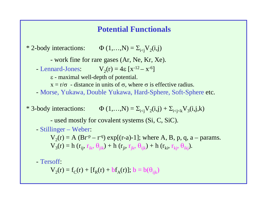## **Potential Functionals**

\* 2-body interactions:  $\Phi(1,...,N) = \sum_{i \le i} V_2(i,j)$ 

- work fine for rare gases (Ar, Ne, Kr, Xe).

- Lennard-Jones:  $V_2(r) = 4\epsilon [x^{-12} x^{-6}]$ 
	- maximal well-depth of potential.
	- $x = r/\sigma$  distance in units of  $\sigma$ , where  $\sigma$  is effective radius.
- Morse, Yukawa, Double Yukawa, Hard-Sphere, Soft-Sphere etc.
- \* 3-body interactions:  $\Phi(1,...,N) = \sum_{i \le i} V_2(i,j) + \sum_{i \le i \le k} V_3(i,j,k)$

- used mostly for covalent systems (Si, C, SiC).

- Stillinger – Weber:

 $V_2(r) = A (Br^p - r^q) \exp[(r-a)-1]$ ; where A, B, p, q, a – params.  $V_3(r) = h(r_{ii}, r_{ik}, \theta_{jik}) + h(r_{ii}, r_{ik}, \theta_{ijk}) + h(r_{ki}, r_{ki}, \theta_{ik})$ .

- Tersoff:

 $V_2(r) = f_C(r) + [f_R(r) + bf_A(r)]; b = b(\theta_{ijk})$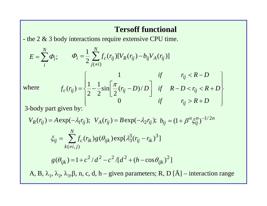## **Tersoff functional**

**-** the 2 & 3 body interactions require extensive CPU time.

$$
E = \sum_{i}^{N} \Phi_{i}; \qquad \Phi_{i} = \frac{1}{2} \sum_{j(\neq i)}^{N} f_{c}(r_{ij}) [V_{R}(r_{ij}) - b_{ij} V_{A}(r_{ij})]
$$
  
where  

$$
f_{c}(r_{ij}) = \begin{cases} 1 & \text{if} & r_{ij} < R - D \\ \frac{1}{2} - \frac{1}{2} \sin \left[ \frac{\pi}{2} (r_{ij} - D) / D \right] & \text{if} & R - D < r_{ij} < R + D \\ 0 & \text{if} & r_{ij} > R + D \end{cases}
$$

3-body part given by:

$$
V_R(r_{ij}) = A \exp(-\lambda_1 r_{ij}); \quad V_A(r_{ij}) = B \exp(-\lambda_2 r_{ij}); \quad b_{ij} = (1 + \beta^n \xi_{ij}^n)^{-1/2n}
$$

$$
\xi_{ij} = \sum_{k(\neq i,j)}^N f_c(r_{ik}) g(\theta_{ijk}) \exp[\lambda_3^3 (r_{ij} - r_{ik})^3]
$$

$$
g(\theta_{ijk}) = 1 + c^2 / d^2 - c^2 / [d^2 + (h - \cos \theta_{ijk})^2]
$$
  
A, B,  $\lambda_1$ ,  $\lambda_2$ ,  $\lambda_3$ ,  $\beta$ , n, c, d, h – given parameters; R, D [Å] – interaction range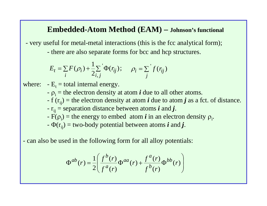## **Embedded-Atom Method (EAM) – Johnson's functional**

- very useful for metal-metal interactions (this is the fcc analytical form);
	- there are also separate forms for bcc and hcp structures.

$$
E_t = \sum_i F(\rho_i) + \frac{1}{2} \sum_{i,j} \Phi(r_{ij}); \quad \rho_i = \sum_j f(r_{ij})
$$

- where:  $E_t =$  total internal energy.
	- $\sim \rho_i$  = the electron density at atom *i* due to all other atoms.
	- f ( rij ) = the electron density at atom *i* due to atom *j* as a fct. of distance.
	- $r_{ij}$  = separation distance between atoms  $\bm{i}$  and  $\bm{j}$ .
	- $-F(\rho_i)$  = the energy to embed atom *i* in an electron density  $\rho_i$ .
	- $\Phi(\mathbf{r}_{ij})$  = two-body potential between atoms  $\boldsymbol{i}$  and  $\boldsymbol{j}$ .

- can also be used in the following form for all alloy potentials:

$$
\Phi^{ab}(r) = \frac{1}{2} \left( \frac{f^b(r)}{f^a(r)} \Phi^{aa}(r) + \frac{f^a(r)}{f^b(r)} \Phi^{bb}(r) \right)
$$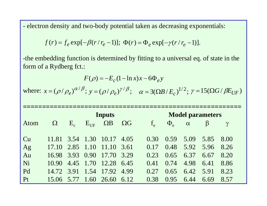- electron density and two-body potential taken as decreasing exponentials:

$$
f(r) = f_e \exp[-\beta(r/r_e - 1)]; \Phi(r) = \Phi_e \exp[-\gamma(r/r_e - 1)].
$$

-the embedding function is determined by fitting to a universal eq. of state in the form of a Rydberg fct.:

$$
F(\rho) = -E_c (1 - \ln x)x - 6\Phi_e y
$$

where:  $x = (\rho / \rho_e)^{\alpha/\beta}$ ;  $y = (\rho / \rho_e)^{\gamma/\beta}$ ;  $\alpha = 3(\Omega B / E_c)^{1/2}$ ;  $\gamma = 15(\Omega G / \beta E_{UF})$ 

|      | <b>Inputs</b>   |           |                 |                            | <b>Model parameters</b> |  |       |                |                   |         |          |  |
|------|-----------------|-----------|-----------------|----------------------------|-------------------------|--|-------|----------------|-------------------|---------|----------|--|
| Atom | $\Omega$        | $\rm E_c$ | $E_{\text{UF}}$ | $\Omega$ B                 | $\Omega G$              |  | $f_e$ | $\Phi_{\rm e}$ | $\alpha$          | $\beta$ | $\gamma$ |  |
|      |                 |           |                 |                            |                         |  |       |                |                   |         |          |  |
| Cu   |                 |           |                 | 11.81 3.54 1.30 10.17      | 4.05                    |  | 0.30  |                | $0.59 \quad 5.09$ | 5.85    | 8.00     |  |
| Ag   | 17.10 2.85 1.10 |           |                 | 11.10                      | 3.61                    |  | 0.17  | 0.48           | 5.92              | 5.96    | 8.26     |  |
| Au   |                 |           |                 | 16.98 3.93 0.90 17.70      | 3.29                    |  | 0.23  | 0.65           | 6.37              | 6.67    | 8.20     |  |
| Ni   |                 |           |                 | 10.90 4.45 1.70 12.28 6.45 |                         |  | 0.41  | 0.74           | 4.98              | 6.41    | 8.86     |  |
| Pd   |                 |           |                 | 14.72 3.91 1.54 17.92      | 4.99                    |  | 0.27  | 0.65           | 6.42              | 5.91    | 8.23     |  |
| Pt   |                 |           |                 | 15.06 5.77 1.60 26.60      | 6.12                    |  | 0.38  | 0.95           | 6.44              | 6.69    | 8.57     |  |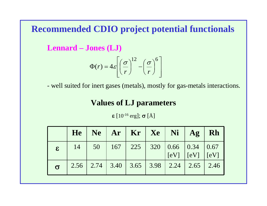# **Recommended CDIO project potential functionals**

**Lennard – Jones (LJ)**

$$
\Phi(r) = 4\varepsilon \left[ \left( \frac{\sigma}{r} \right)^{12} - \left( \frac{\sigma}{r} \right)^{6} \right]
$$

- well suited for inert gases (metals), mostly for gas-metals interactions.

## **Values of LJ parameters**

 $\pmb{\varepsilon} \, [10^{\text{-}16} \, \text{erg}]; \, \bm{\sigma} \, [\text{\AA}]$ 

|              |    | $He \mid Ne \mid Ar \mid Kr \mid Xe \mid Ni \mid Ag \mid Rh$ |  |  |                                                                                       |  |
|--------------|----|--------------------------------------------------------------|--|--|---------------------------------------------------------------------------------------|--|
| $\mathbf{g}$ | 14 |                                                              |  |  | $50$   167   225   320   0.66   0.34   0.67<br>$\vert$ [eV] $\vert$ [eV] $\vert$ [eV] |  |
| $\sigma$     |    | $2.56$   2.74   3.40   3.65   3.98   2.24   2.65   2.46      |  |  |                                                                                       |  |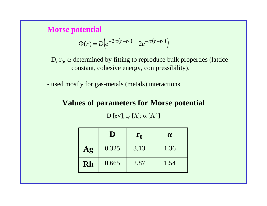**Morse potential**

$$
\Phi(r) = D\Big(e^{-2\alpha(r-r_0)} - 2e^{-\alpha(r-r_0)}\Big)
$$

- -D,  $r_0$ ,  $\alpha$  determined by fitting to reproduce bulk properties (lattice constant, cohesive energy, compressibility).
- used mostly for gas-metals (metals) interactions.

**Values of parameters for Morse potential D** [eV];  $r_0$  [Å];  $\alpha$  [Å<sup>-1</sup>]

|    | $\blacksquare$ | ${\bf r}_0$ | $\alpha$ |  |
|----|----------------|-------------|----------|--|
| Ag | 0.325          | 3.13        | 1.36     |  |
| Rh | 0.665          | 2.87        | 1.54     |  |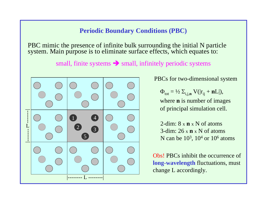## **Periodic Boundary Conditions (PBC)**

PBC mimic the presence of infinite bulk surrounding the initial N particle system. Main purpose is to eliminate surface effects, which equates to:

small, finite systems  $\rightarrow$  small, infinitely periodic systems



PBCs for two-dimensional system

 $\Phi_{\text{tot}} = \frac{1}{2} \sum_{i,j,n} V(|r_{ij} + nL|),$ where **n** is number of images of principal simulation cell.

2-dim: 8 x **n** x N of atoms3-dim: 26 x **n** x N of atomsN can be 103, 104 or 106 atoms

Obs! PBCs inhibit the occurrence of **long-wavelength** fluctuations, must change L accordingly.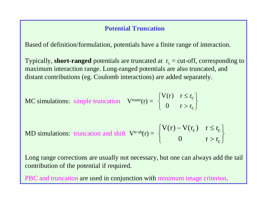## **Potential Truncation**

Based of definition/formulation, potentials have a finite range of interaction.

Typically, **short-ranged** potentials are truncated at  $r_c = \text{cut-off}$ , corresponding to maximum interaction range. Long-ranged potentials are also truncated, and distant contributions (eg. Coulomb interactions) are added separately.

MC simulations: simple truncation 
$$
V^{trunc}(r) = \begin{cases} V(r) & r \le r_c \\ 0 & r > r_c \end{cases}
$$

MD simulations: truncation and shift  $V^{tr-sh}(r) =$  $\begin{cases} V(r) - V(r_c) & r \le r_c \\ 0 & r > r_c \end{cases}$ 

Long range corrections are usually not necessary, but one can always add the tail contribution of the potential if required.

PBC and truncation are used in conjunction with minimum image criterion.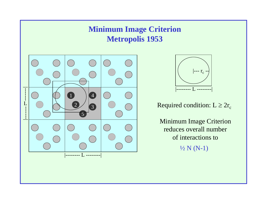# **Minimum Image Criterion Metropolis 1953**





## Required condition:  $L \geq 2r_c$

Minimum Image Criterion reduces overall number of interactions to $\frac{1}{2}N(N-1)$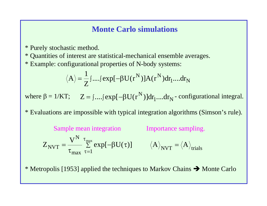## **Monte Carlo simulations**

\* Purely stochastic method.

\* Quantities of interest are statistical-mechanical ensemble averages.

\* Example: configurational propert ies of N-body systems:

$$
\langle A \rangle = \frac{1}{Z} \int ... \int exp[-\beta U(r^N)] A(r^N) dr_1 ... dr_N
$$

where  $\beta = 1/KT$ ;  $Z = \int ... \int exp[-\beta U(r^N)] dr_1 ... dr_N$  - configurational integral.  $Z = \text{f} \dots \text{f} \exp[-\beta U(r^N)]$  $-\beta U(r^{\prime\prime\prime})]$ dr $_1$ ....dr

\* Evaluations are impossible with typical integration algorithms (Simson's rule).

Sample mean integration  
\n
$$
Z_{\text{NVT}} = \frac{V^{\text{N}}}{\tau_{\text{max}}}\sum_{\tau=1}^{\tau_{\text{max}}} \exp[-\beta U(\tau)] \qquad \langle A \rangle_{\text{NVT}} = \langle A \rangle_{\text{trials}}
$$

\* Metropolis [1953] applied the techniques to Markov Chains  $\rightarrow$  Monte Carlo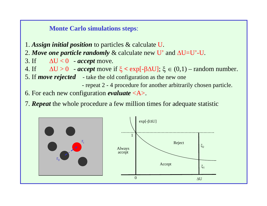## **Monte Carlo simulations steps**:

- 1. *Assign initial position* to particles & calculate U.
- 2. Move one particle randomly  $\&$  calculate new U' and  $\Delta U\!\!=\!\!U$ '-U.
- 3. If  $\Delta U < 0$  - *accept* move.
- 4. If  $\Delta U > 0$  *accept* move if  $\xi < \exp[-\beta \Delta U]$ ;  $\xi \in (0,1)$  random number.
- 5. If *move rejected*  take the old configuration as the new one
	- repeat 2 4 procedure for another arbitrarily chosen particle.
- 6. For each new configuration *evaluate* <A>.
- 7. *Repeat* the whole procedure a few million times for adequate statistic

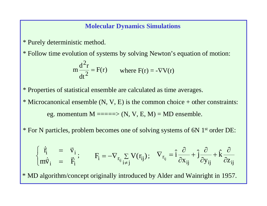### **Molecular Dynamics Simulations**

- \* Purely deterministic method.
- \* Follow time evolution of systems by solving Newton's equation of motion:

$$
m\frac{d^{2}r}{dt^{2}} = F(r) \qquad \text{where } F(r) = -\nabla V(r)
$$

- \* Properties of statistical ensemble are calculated as time averages.
- \* Microcanonical ensemble  $(N, V, E)$  is the common choice + other constraints: eg. momentum  $M = == \Rightarrow (N, V, E, M) = MD$  ensemble.
- \* For N particles, problem becomes one of solving systems of 6N 1st order DE:

$$
\begin{cases} \dot{\vec{r}}_i &= \vec{v}_i \\ m\dot{\vec{v}}_i &= \vec{F}_i \end{cases}; \qquad F_i = -\nabla_{r_{ij}} \sum_{i \neq j} V(r_{ij}); \quad \nabla_{r_{ij}} = \hat{i} \frac{\partial}{\partial x_{ij}} + \hat{j} \frac{\partial}{\partial y_{ij}} + \hat{k} \frac{\partial}{\partial z_{ij}}
$$

\* MD algorithm/concept originally introduced by Alder and Wainright in 1957.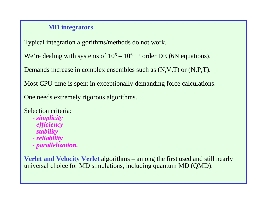### **MD integrators**

Typical integration algorithms/methods do not work.

We're dealing with systems of  $10^5 - 10^6$  1st order DE (6N equations).

Demands increase in complex ensembles such as (N,V,T) or (N,P,T).

Most CPU time is spent in exceptionally demanding force calculations.

One needs extremely rigorous algorithms.

Selection criteria:

- *simplicity*
- *- efficiency*
- *stability*
- *reliability*
- *parallelization.*

**Verlet and Velocity Verlet** algorithms – among the first used and still nearly universal choice for MD simulations, including quantum MD (QMD).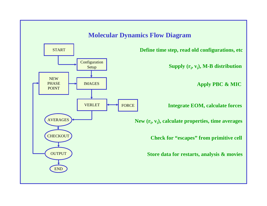### **Molecular Dynamics Flow Diagram**

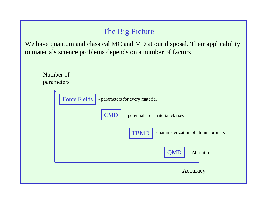## The Big Picture

We have quantum and classical MC and MD at our disposal. Their applicability to materials science problems depends on a number of factors:

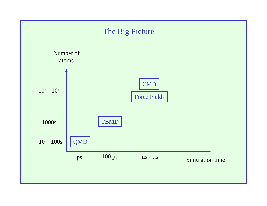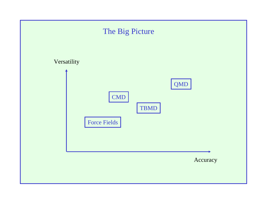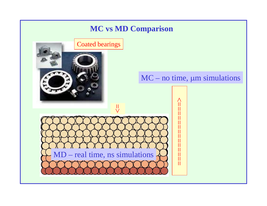